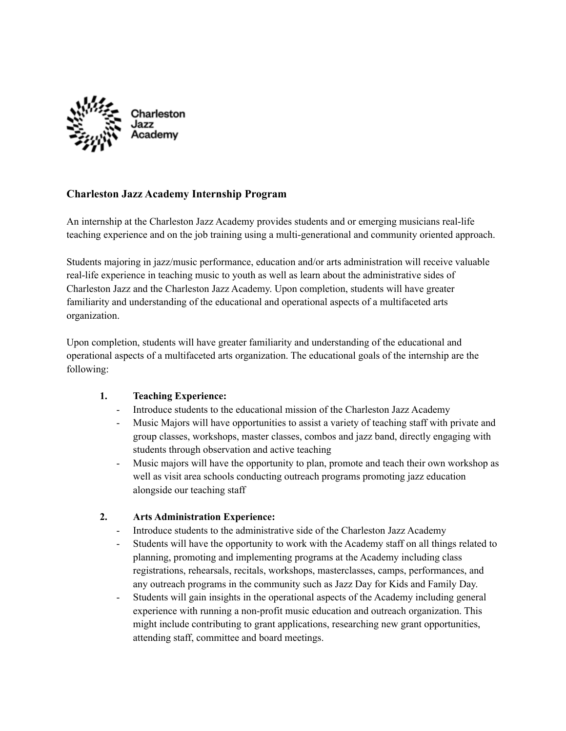

# **Charleston Jazz Academy Internship Program**

An internship at the Charleston Jazz Academy provides students and or emerging musicians real-life teaching experience and on the job training using a multi-generational and community oriented approach.

Students majoring in jazz/music performance, education and/or arts administration will receive valuable real-life experience in teaching music to youth as well as learn about the administrative sides of Charleston Jazz and the Charleston Jazz Academy. Upon completion, students will have greater familiarity and understanding of the educational and operational aspects of a multifaceted arts organization.

Upon completion, students will have greater familiarity and understanding of the educational and operational aspects of a multifaceted arts organization. The educational goals of the internship are the following:

## **1. Teaching Experience:**

- Introduce students to the educational mission of the Charleston Jazz Academy
- Music Majors will have opportunities to assist a variety of teaching staff with private and group classes, workshops, master classes, combos and jazz band, directly engaging with students through observation and active teaching
- Music majors will have the opportunity to plan, promote and teach their own workshop as well as visit area schools conducting outreach programs promoting jazz education alongside our teaching staff

## **2. Arts Administration Experience:**

- Introduce students to the administrative side of the Charleston Jazz Academy
- Students will have the opportunity to work with the Academy staff on all things related to planning, promoting and implementing programs at the Academy including class registrations, rehearsals, recitals, workshops, masterclasses, camps, performances, and any outreach programs in the community such as Jazz Day for Kids and Family Day.
- Students will gain insights in the operational aspects of the Academy including general experience with running a non-profit music education and outreach organization. This might include contributing to grant applications, researching new grant opportunities, attending staff, committee and board meetings.